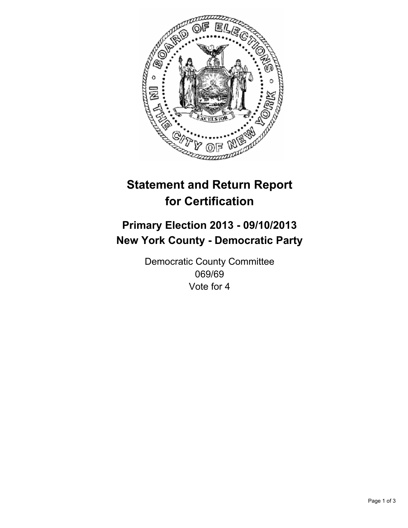

# **Statement and Return Report for Certification**

## **Primary Election 2013 - 09/10/2013 New York County - Democratic Party**

Democratic County Committee 069/69 Vote for 4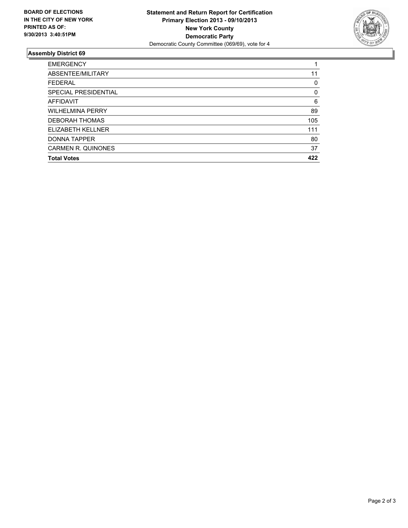

### **Assembly District 69**

| 11  |
|-----|
| 0   |
| 0   |
| 6   |
| 89  |
| 105 |
| 111 |
| 80  |
| 37  |
| 422 |
|     |